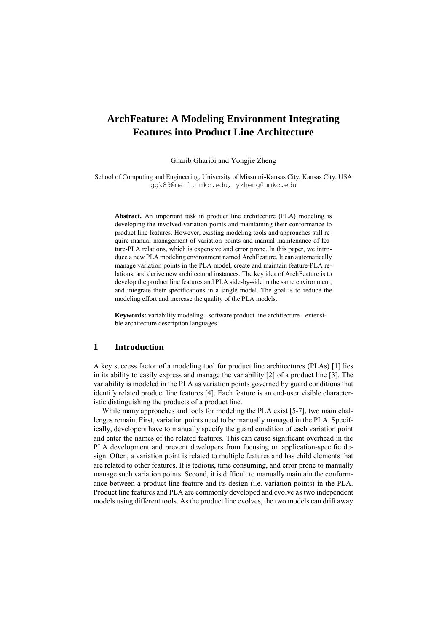# **ArchFeature: A Modeling Environment Integrating Features into Product Line Architecture**

Gharib Gharibi and Yongjie Zheng

School of Computing and Engineering, University of Missouri-Kansas City, Kansas City, USA [ggk89@mail.umkc.edu,](mailto:ggk89@mail.umkc.edu) yzheng@umkc.edu

**Abstract.** An important task in product line architecture (PLA) modeling is developing the involved variation points and maintaining their conformance to product line features. However, existing modeling tools and approaches still require manual management of variation points and manual maintenance of feature-PLA relations, which is expensive and error prone. In this paper, we introduce a new PLA modeling environment named ArchFeature. It can automatically manage variation points in the PLA model, create and maintain feature-PLA relations, and derive new architectural instances. The key idea of ArchFeature is to develop the product line features and PLA side-by-side in the same environment, and integrate their specifications in a single model. The goal is to reduce the modeling effort and increase the quality of the PLA models.

**Keywords:** variability modeling · software product line architecture · extensible architecture description languages

### **1 Introduction**

A key success factor of a modeling tool for product line architectures (PLAs) [\[1\]](#page-6-0) lies in its ability to easily express and manage the variability [\[2\]](#page-6-1) of a product line [\[3\]](#page-6-2). The variability is modeled in the PLA as variation points governed by guard conditions that identify related product line features [\[4\]](#page-6-3). Each feature is an end-user visible characteristic distinguishing the products of a product line.

While many approaches and tools for modeling the PLA exist [\[5-7\]](#page-6-4), two main challenges remain. First, variation points need to be manually managed in the PLA. Specifically, developers have to manually specify the guard condition of each variation point and enter the names of the related features. This can cause significant overhead in the PLA development and prevent developers from focusing on application-specific design. Often, a variation point is related to multiple features and has child elements that are related to other features. It is tedious, time consuming, and error prone to manually manage such variation points. Second, it is difficult to manually maintain the conformance between a product line feature and its design (i.e. variation points) in the PLA. Product line features and PLA are commonly developed and evolve as two independent models using different tools. As the product line evolves, the two models can drift away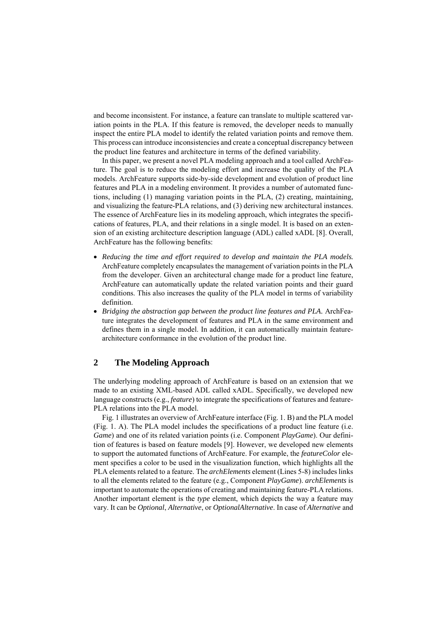and become inconsistent. For instance, a feature can translate to multiple scattered variation points in the PLA. If this feature is removed, the developer needs to manually inspect the entire PLA model to identify the related variation points and remove them. This process can introduce inconsistencies and create a conceptual discrepancy between the product line features and architecture in terms of the defined variability.

In this paper, we present a novel PLA modeling approach and a tool called ArchFeature. The goal is to reduce the modeling effort and increase the quality of the PLA models. ArchFeature supports side-by-side development and evolution of product line features and PLA in a modeling environment. It provides a number of automated functions, including (1) managing variation points in the PLA, (2) creating, maintaining, and visualizing the feature-PLA relations, and (3) deriving new architectural instances. The essence of ArchFeature lies in its modeling approach, which integrates the specifications of features, PLA, and their relations in a single model. It is based on an extension of an existing architecture description language (ADL) called xADL [\[8\]](#page-6-5). Overall, ArchFeature has the following benefits:

- *Reducing the time and effort required to develop and maintain the PLA models.*  ArchFeature completely encapsulates the management of variation points in the PLA from the developer. Given an architectural change made for a product line feature, ArchFeature can automatically update the related variation points and their guard conditions. This also increases the quality of the PLA model in terms of variability definition.
- **•** Bridging the abstraction gap between the product line features and PLA. ArchFeature integrates the development of features and PLA in the same environment and defines them in a single model. In addition, it can automatically maintain featurearchitecture conformance in the evolution of the product line.

# **2 The Modeling Approach**

The underlying modeling approach of ArchFeature is based on an extension that we made to an existing XML-based ADL called xADL. Specifically, we developed new language constructs (e.g., *feature*) to integrate the specifications of features and feature-PLA relations into the PLA model.

Fig. 1 illustrates an overview of ArchFeature interface (Fig. 1. B) and the PLA model (Fig. 1. A). The PLA model includes the specifications of a product line feature (i.e. *Game*) and one of its related variation points (i.e. Component *PlayGame*). Our definition of features is based on feature models [\[9\]](#page-6-6). However, we developed new elements to support the automated functions of ArchFeature. For example, the *featureColor* element specifies a color to be used in the visualization function, which highlights all the PLA elements related to a feature. The *archElements* element (Lines 5-8) includes links to all the elements related to the feature (e.g., Component *PlayGame*). *archElements* is important to automate the operations of creating and maintaining feature-PLA relations. Another important element is the *type* element, which depicts the way a feature may vary. It can be *Optional*, *Alternative*, or *OptionalAlternative*. In case of *Alternative* and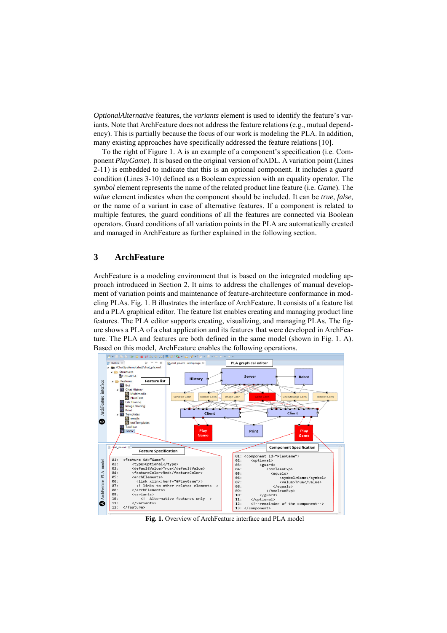*OptionalAlternative* features, the *variants* element is used to identify the feature's variants. Note that ArchFeature does not address the feature relations (e.g., mutual dependency). This is partially because the focus of our work is modeling the PLA. In addition, many existing approaches have specifically addressed the feature relations [\[10\]](#page-6-7).

To the right of Figure 1. A is an example of a component's specification (i.e. Component *PlayGame*). It is based on the original version of xADL. A variation point (Lines 2-11) is embedded to indicate that this is an optional component. It includes a *guard* condition (Lines 3-10) defined as a Boolean expression with an equality operator. The *symbol* element represents the name of the related product line feature (i.e. *Game*). The *value* element indicates when the component should be included. It can be *true*, *false*, or the name of a variant in case of alternative features. If a component is related to multiple features, the guard conditions of all the features are connected via Boolean operators. Guard conditions of all variation points in the PLA are automatically created and managed in ArchFeature as further explained in the following section.

### **3 ArchFeature**

ArchFeature is a modeling environment that is based on the integrated modeling approach introduced in Section 2. It aims to address the challenges of manual development of variation points and maintenance of feature-architecture conformance in modeling PLAs. Fig. 1. B illustrates the interface of ArchFeature. It consists of a feature list and a PLA graphical editor. The feature list enables creating and managing product line features. The PLA editor supports creating, visualizing, and managing PLAs. The figure shows a PLA of a chat application and its features that were developed in ArchFeature. The PLA and features are both defined in the same model (shown in Fig. 1. A). Based on this model, ArchFeature enables the following operations.



**Fig. 1.** Overview of ArchFeature interface and PLA model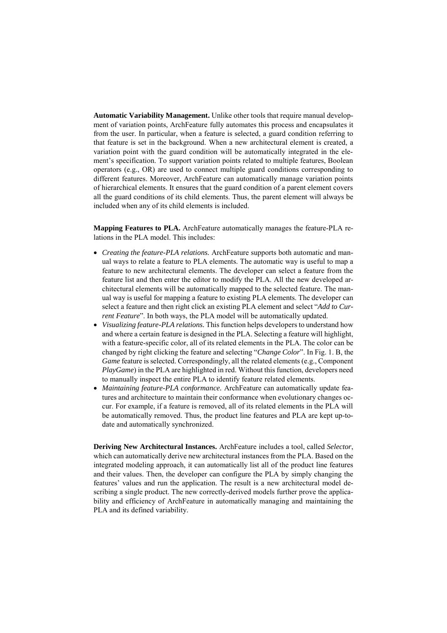**Automatic Variability Management.** Unlike other tools that require manual development of variation points, ArchFeature fully automates this process and encapsulates it from the user. In particular, when a feature is selected, a guard condition referring to that feature is set in the background. When a new architectural element is created, a variation point with the guard condition will be automatically integrated in the element's specification. To support variation points related to multiple features, Boolean operators (e.g., OR) are used to connect multiple guard conditions corresponding to different features. Moreover, ArchFeature can automatically manage variation points of hierarchical elements. It ensures that the guard condition of a parent element covers all the guard conditions of its child elements. Thus, the parent element will always be included when any of its child elements is included.

**Mapping Features to PLA.** ArchFeature automatically manages the feature-PLA relations in the PLA model. This includes:

- *Creating the feature-PLA relations.* ArchFeature supports both automatic and manual ways to relate a feature to PLA elements. The automatic way is useful to map a feature to new architectural elements. The developer can select a feature from the feature list and then enter the editor to modify the PLA. All the new developed architectural elements will be automatically mapped to the selected feature. The manual way is useful for mapping a feature to existing PLA elements. The developer can select a feature and then right click an existing PLA element and select "*Add to Current Feature*". In both ways, the PLA model will be automatically updated.
- *Visualizing feature-PLA relations.* This function helps developers to understand how and where a certain feature is designed in the PLA. Selecting a feature will highlight, with a feature-specific color, all of its related elements in the PLA. The color can be changed by right clicking the feature and selecting "*Change Color*". In Fig. 1. B, the *Game* feature is selected. Correspondingly, all the related elements (e.g., Component *PlayGame*) in the PLA are highlighted in red. Without this function, developers need to manually inspect the entire PLA to identify feature related elements.
- *Maintaining feature-PLA conformance.* ArchFeature can automatically update features and architecture to maintain their conformance when evolutionary changes occur. For example, if a feature is removed, all of its related elements in the PLA will be automatically removed. Thus, the product line features and PLA are kept up-todate and automatically synchronized.

**Deriving New Architectural Instances.** ArchFeature includes a tool, called *Selector*, which can automatically derive new architectural instances from the PLA. Based on the integrated modeling approach, it can automatically list all of the product line features and their values. Then, the developer can configure the PLA by simply changing the features' values and run the application. The result is a new architectural model describing a single product. The new correctly-derived models further prove the applicability and efficiency of ArchFeature in automatically managing and maintaining the PLA and its defined variability.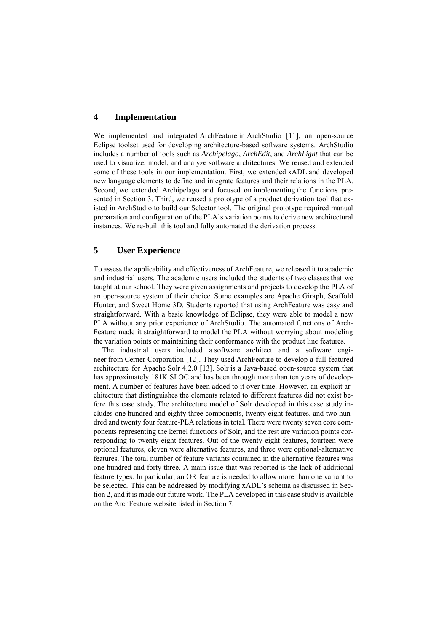### **4 Implementation**

We implemented and integrated ArchFeature in ArchStudio [\[11\]](#page-6-8), an open-source Eclipse toolset used for developing architecture-based software systems. ArchStudio includes a number of tools such as *Archipelago*, *ArchEdit*, and *ArchLight* that can be used to visualize, model, and analyze software architectures. We reused and extended some of these tools in our implementation. First, we extended xADL and developed new language elements to define and integrate features and their relations in the PLA. Second, we extended Archipelago and focused on implementing the functions presented in Section 3. Third, we reused a prototype of a product derivation tool that existed in ArchStudio to build our Selector tool. The original prototype required manual preparation and configuration of the PLA's variation points to derive new architectural instances. We re-built this tool and fully automated the derivation process.

#### **5 User Experience**

To assess the applicability and effectiveness of ArchFeature, we released it to academic and industrial users. The academic users included the students of two classes that we taught at our school. They were given assignments and projects to develop the PLA of an open-source system of their choice. Some examples are Apache Giraph, Scaffold Hunter, and Sweet Home 3D. Students reported that using ArchFeature was easy and straightforward. With a basic knowledge of Eclipse, they were able to model a new PLA without any prior experience of ArchStudio. The automated functions of Arch-Feature made it straightforward to model the PLA without worrying about modeling the variation points or maintaining their conformance with the product line features.

The industrial users included a software architect and a software engineer from Cerner Corporation [\[12\]](#page-6-9). They used ArchFeature to develop a full-featured architecture for Apache Solr 4.2.0 [\[13\]](#page-6-10). Solr is a Java-based open-source system that has approximately 181K SLOC and has been through more than ten years of development. A number of features have been added to it over time. However, an explicit architecture that distinguishes the elements related to different features did not exist before this case study. The architecture model of Solr developed in this case study includes one hundred and eighty three components, twenty eight features, and two hundred and twenty four feature-PLA relations in total. There were twenty seven core components representing the kernel functions of Solr, and the rest are variation points corresponding to twenty eight features. Out of the twenty eight features, fourteen were optional features, eleven were alternative features, and three were optional-alternative features. The total number of feature variants contained in the alternative features was one hundred and forty three. A main issue that was reported is the lack of additional feature types. In particular, an OR feature is needed to allow more than one variant to be selected. This can be addressed by modifying xADL's schema as discussed in Section 2, and it is made our future work. The PLA developed in this case study is available on the ArchFeature website listed in Section 7.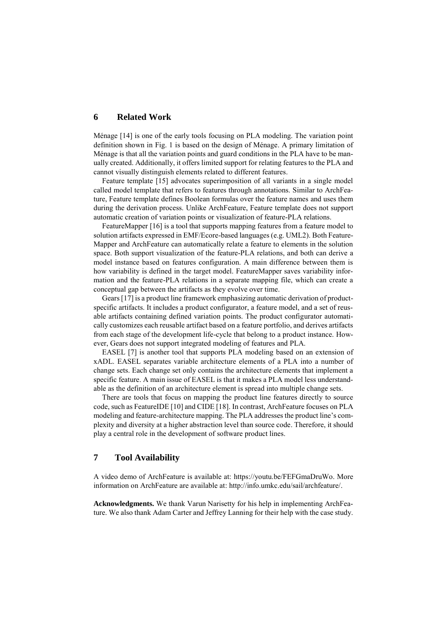### **6 Related Work**

Ménage [\[14\]](#page-6-11) is one of the early tools focusing on PLA modeling. The variation point definition shown in Fig. 1 is based on the design of Ménage. A primary limitation of Ménage is that all the variation points and guard conditions in the PLA have to be manually created. Additionally, it offers limited support for relating features to the PLA and cannot visually distinguish elements related to different features.

Feature template [\[15\]](#page-6-12) advocates superimposition of all variants in a single model called model template that refers to features through annotations. Similar to ArchFeature, Feature template defines Boolean formulas over the feature names and uses them during the derivation process. Unlike ArchFeature, Feature template does not support automatic creation of variation points or visualization of feature-PLA relations.

FeatureMapper [\[16\]](#page-6-13) is a tool that supports mapping features from a feature model to solution artifacts expressed in EMF/Ecore-based languages (e.g. UML2). Both Feature-Mapper and ArchFeature can automatically relate a feature to elements in the solution space. Both support visualization of the feature-PLA relations, and both can derive a model instance based on features configuration. A main difference between them is how variability is defined in the target model. FeatureMapper saves variability information and the feature-PLA relations in a separate mapping file, which can create a conceptual gap between the artifacts as they evolve over time.

Gears [\[17\]](#page-6-14) is a product line framework emphasizing automatic derivation of productspecific artifacts. It includes a product configurator, a feature model, and a set of reusable artifacts containing defined variation points. The product configurator automatically customizes each reusable artifact based on a feature portfolio, and derives artifacts from each stage of the development life-cycle that belong to a product instance. However, Gears does not support integrated modeling of features and PLA.

EASEL [\[7\]](#page-6-15) is another tool that supports PLA modeling based on an extension of xADL. EASEL separates variable architecture elements of a PLA into a number of change sets. Each change set only contains the architecture elements that implement a specific feature. A main issue of EASEL is that it makes a PLA model less understandable as the definition of an architecture element is spread into multiple change sets.

There are tools that focus on mapping the product line features directly to source code, such as FeatureIDE [\[10\]](#page-6-7) and CIDE [\[18\]](#page-6-16). In contrast, ArchFeature focuses on PLA modeling and feature-architecture mapping. The PLA addresses the product line's complexity and diversity at a higher abstraction level than source code. Therefore, it should play a central role in the development of software product lines.

## **7 Tool Availability**

A video demo of ArchFeature is available at: https://youtu.be/FEFGmaDruWo. More information on ArchFeature are available at: [http://info.umkc.edu/sail/archfeature/.](http://info.umkc.edu/sail/archfeature/)

**Acknowledgments.** We thank Varun Narisetty for his help in implementing ArchFeature. We also thank Adam Carter and Jeffrey Lanning for their help with the case study.